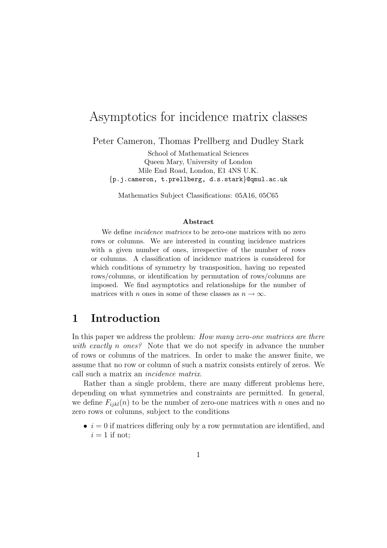# Asymptotics for incidence matrix classes

Peter Cameron, Thomas Prellberg and Dudley Stark

School of Mathematical Sciences Queen Mary, University of London Mile End Road, London, E1 4NS U.K. {p.j.cameron, t.prellberg, d.s.stark}@qmul.ac.uk

Mathematics Subject Classifications: 05A16, 05C65

#### Abstract

We define *incidence matrices* to be zero-one matrices with no zero rows or columns. We are interested in counting incidence matrices with a given number of ones, irrespective of the number of rows or columns. A classification of incidence matrices is considered for which conditions of symmetry by transposition, having no repeated rows/columns, or identification by permutation of rows/columns are imposed. We find asymptotics and relationships for the number of matrices with *n* ones in some of these classes as  $n \to \infty$ .

#### 1 Introduction

In this paper we address the problem: How many zero-one matrices are there with exactly n ones? Note that we do not specify in advance the number of rows or columns of the matrices. In order to make the answer finite, we assume that no row or column of such a matrix consists entirely of zeros. We call such a matrix an incidence matrix.

Rather than a single problem, there are many different problems here, depending on what symmetries and constraints are permitted. In general, we define  $F_{ijkl}(n)$  to be the number of zero-one matrices with n ones and no zero rows or columns, subject to the conditions

 $\bullet i = 0$  if matrices differing only by a row permutation are identified, and  $i = 1$  if not;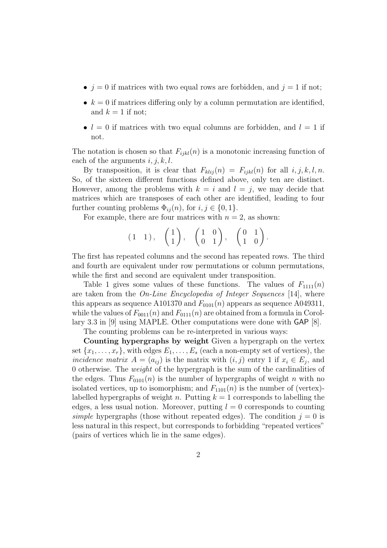- $j = 0$  if matrices with two equal rows are forbidden, and  $j = 1$  if not;
- $k = 0$  if matrices differing only by a column permutation are identified, and  $k = 1$  if not;
- $l = 0$  if matrices with two equal columns are forbidden, and  $l = 1$  if not.

The notation is chosen so that  $F_{ijkl}(n)$  is a monotonic increasing function of each of the arguments  $i, j, k, l$ .

By transposition, it is clear that  $F_{klij}(n) = F_{ijkl}(n)$  for all  $i, j, k, l, n$ . So, of the sixteen different functions defined above, only ten are distinct. However, among the problems with  $k = i$  and  $l = j$ , we may decide that matrices which are transposes of each other are identified, leading to four further counting problems  $\Phi_{ij}(n)$ , for  $i, j \in \{0, 1\}$ .

For example, there are four matrices with  $n = 2$ , as shown:

$$
(1 \quad 1), \quad \begin{pmatrix} 1 \\ 1 \end{pmatrix}, \quad \begin{pmatrix} 1 & 0 \\ 0 & 1 \end{pmatrix}, \quad \begin{pmatrix} 0 & 1 \\ 1 & 0 \end{pmatrix}.
$$

The first has repeated columns and the second has repeated rows. The third and fourth are equivalent under row permutations or column permutations, while the first and second are equivalent under transposition.

Table 1 gives some values of these functions. The values of  $F_{1111}(n)$ are taken from the On-Line Encyclopedia of Integer Sequences [14], where this appears as sequence A101370 and  $F_{0101}(n)$  appears as sequence A049311, while the values of  $F_{0011}(n)$  and  $F_{0111}(n)$  are obtained from a formula in Corollary 3.3 in [9] using MAPLE. Other computations were done with GAP [8].

The counting problems can be re-interpreted in various ways:

Counting hypergraphs by weight Given a hypergraph on the vertex set  $\{x_1, \ldots, x_r\}$ , with edges  $E_1, \ldots, E_s$  (each a non-empty set of vertices), the incidence matrix  $A = (a_{ij})$  is the matrix with  $(i, j)$  entry 1 if  $x_i \in E_j$ , and 0 otherwise. The weight of the hypergraph is the sum of the cardinalities of the edges. Thus  $F_{0101}(n)$  is the number of hypergraphs of weight n with no isolated vertices, up to isomorphism; and  $F_{1101}(n)$  is the number of (vertex)labelled hypergraphs of weight n. Putting  $k = 1$  corresponds to labelling the edges, a less usual notion. Moreover, putting  $l = 0$  corresponds to counting simple hypergraphs (those without repeated edges). The condition  $j = 0$  is less natural in this respect, but corresponds to forbidding "repeated vertices" (pairs of vertices which lie in the same edges).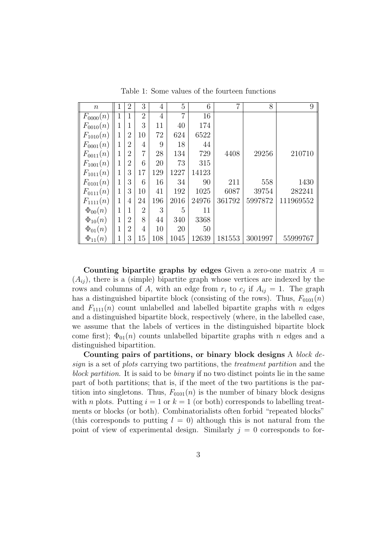| $\boldsymbol{n}$ | 1 | $\overline{2}$ | 3              | 4              | 5              | 6     | 7      | 8       | 9         |
|------------------|---|----------------|----------------|----------------|----------------|-------|--------|---------|-----------|
| $F_{0000}(n)$    | 1 | 1              | $\overline{2}$ | $\overline{4}$ | $\overline{7}$ | 16    |        |         |           |
| $F_{0010}(n)$    | 1 | 1              | 3              | 11             | 40             | 174   |        |         |           |
| $F_{1010}(n)$    | 1 | $\overline{2}$ | 10             | 72             | 624            | 6522  |        |         |           |
| $F_{0001}(n)$    | 1 | $\overline{2}$ | 4              | 9              | 18             | 44    |        |         |           |
| $F_{0011}(n)$    | 1 | $\overline{2}$ | $\overline{7}$ | 28             | 134            | 729   | 4408   | 29256   | 210710    |
| $F_{1001}(n)$    | 1 | $\overline{2}$ | 6              | 20             | 73             | 315   |        |         |           |
| $F_{1011}(n)$    | 1 | 3              | 17             | 129            | 1227           | 14123 |        |         |           |
| $F_{0101}(n)$    | 1 | 3              | 6              | 16             | 34             | 90    | 211    | 558     | 1430      |
| $F_{0111}(n)$    | 1 | 3              | 10             | 41             | 192            | 1025  | 6087   | 39754   | 282241    |
| $F_{1111}(n)$    | 1 | 4              | 24             | 196            | 2016           | 24976 | 361792 | 5997872 | 111969552 |
| $\Phi_{00}(n)$   | 1 |                | $\overline{2}$ | 3              | 5              | 11    |        |         |           |
| $\Phi_{10}(n)$   | 1 | $\overline{2}$ | 8              | 44             | 340            | 3368  |        |         |           |
| $\Phi_{01}(n)$   | 1 | $\overline{2}$ | 4              | 10             | 20             | 50    |        |         |           |
| $\Phi_{11}(n)$   | 1 | 3              | 15             | 108            | 1045           | 12639 | 181553 | 3001997 | 55999767  |

Table 1: Some values of the fourteen functions

Counting bipartite graphs by edges Given a zero-one matrix  $A =$  $(A_{ij})$ , there is a (simple) bipartite graph whose vertices are indexed by the rows and columns of A, with an edge from  $r_i$  to  $c_j$  if  $A_{ij} = 1$ . The graph has a distinguished bipartite block (consisting of the rows). Thus,  $F_{0101}(n)$ and  $F_{111}(n)$  count unlabelled and labelled bipartite graphs with n edges and a distinguished bipartite block, respectively (where, in the labelled case, we assume that the labels of vertices in the distinguished bipartite block come first);  $\Phi_{01}(n)$  counts unlabelled bipartite graphs with n edges and a distinguished bipartition.

Counting pairs of partitions, or binary block designs A block design is a set of plots carrying two partitions, the treatment partition and the block partition. It is said to be binary if no two distinct points lie in the same part of both partitions; that is, if the meet of the two partitions is the partition into singletons. Thus,  $F_{0101}(n)$  is the number of binary block designs with *n* plots. Putting  $i = 1$  or  $k = 1$  (or both) corresponds to labelling treatments or blocks (or both). Combinatorialists often forbid "repeated blocks" (this corresponds to putting  $l = 0$ ) although this is not natural from the point of view of experimental design. Similarly  $j = 0$  corresponds to for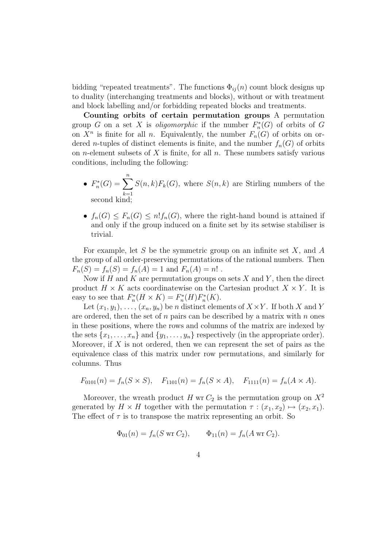bidding "repeated treatments". The functions  $\Phi_{ij}(n)$  count block designs up to duality (interchanging treatments and blocks), without or with treatment and block labelling and/or forbidding repeated blocks and treatments.

Counting orbits of certain permutation groups A permutation group G on a set X is *oligomorphic* if the number  $F_n^*(G)$  of orbits of G on  $X^n$  is finite for all n. Equivalently, the number  $F_n(G)$  of orbits on ordered *n*-tuples of distinct elements is finite, and the number  $f_n(G)$  of orbits on *n*-element subsets of  $X$  is finite, for all  $n$ . These numbers satisfy various conditions, including the following:

- $F_n^*(G) = \sum^{n}$  $k=1$  $S(n,k)F_k(G)$ , where  $S(n,k)$  are Stirling numbers of the second kind;
- $f_n(G) \leq F_n(G) \leq n! f_n(G)$ , where the right-hand bound is attained if and only if the group induced on a finite set by its setwise stabiliser is trivial.

For example, let  $S$  be the symmetric group on an infinite set  $X$ , and  $A$ the group of all order-preserving permutations of the rational numbers. Then  $F_n(S) = f_n(S) = f_n(A) = 1$  and  $F_n(A) = n!$ .

Now if H and K are permutation groups on sets X and Y, then the direct product  $H \times K$  acts coordinatewise on the Cartesian product  $X \times Y$ . It is easy to see that  $F_n^*(H \times K) = F_n^*(H)F_n^*(K)$ .

Let  $(x_1, y_1), \ldots, (x_n, y_n)$  be n distinct elements of  $X \times Y$ . If both X and Y are ordered, then the set of  $n$  pairs can be described by a matrix with  $n$  ones in these positions, where the rows and columns of the matrix are indexed by the sets  $\{x_1, \ldots, x_n\}$  and  $\{y_1, \ldots, y_n\}$  respectively (in the appropriate order). Moreover, if  $X$  is not ordered, then we can represent the set of pairs as the equivalence class of this matrix under row permutations, and similarly for columns. Thus

$$
F_{0101}(n) = f_n(S \times S), \quad F_{1101}(n) = f_n(S \times A), \quad F_{1111}(n) = f_n(A \times A).
$$

Moreover, the wreath product H wr  $C_2$  is the permutation group on  $X^2$ generated by  $H \times H$  together with the permutation  $\tau : (x_1, x_2) \mapsto (x_2, x_1)$ . The effect of  $\tau$  is to transpose the matrix representing an orbit. So

$$
\Phi_{01}(n) = f_n(S \text{ wr } C_2), \qquad \Phi_{11}(n) = f_n(A \text{ wr } C_2).
$$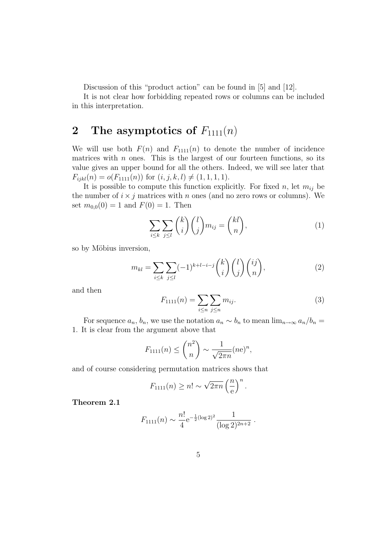Discussion of this "product action" can be found in [5] and [12].

It is not clear how forbidding repeated rows or columns can be included in this interpretation.

### 2 The asymptotics of  $F_{1111}(n)$

We will use both  $F(n)$  and  $F_{1111}(n)$  to denote the number of incidence matrices with  $n$  ones. This is the largest of our fourteen functions, so its value gives an upper bound for all the others. Indeed, we will see later that  $F_{ijkl}(n) = o(F_{1111}(n))$  for  $(i, j, k, l) \neq (1, 1, 1, 1).$ 

It is possible to compute this function explicitly. For fixed n, let  $m_{ij}$  be the number of  $i \times j$  matrices with n ones (and no zero rows or columns). We set  $m_{0,0}(0) = 1$  and  $F(0) = 1$ . Then

$$
\sum_{i \le k} \sum_{j \le l} {k \choose i} {l \choose j} m_{ij} = {kl \choose n}, \tag{1}
$$

so by Möbius inversion,

$$
m_{kl} = \sum_{i \le k} \sum_{j \le l} (-1)^{k+l-i-j} \binom{k}{i} \binom{l}{j} \binom{i j}{n},\tag{2}
$$

and then

$$
F_{1111}(n) = \sum_{i \le n} \sum_{j \le n} m_{ij}.
$$
 (3)

For sequence  $a_n$ ,  $b_n$ , we use the notation  $a_n \sim b_n$  to mean  $\lim_{n\to\infty} a_n/b_n =$ 1. It is clear from the argument above that

$$
F_{1111}(n) \leq {n^2 \choose n} \sim \frac{1}{\sqrt{2\pi n}} (ne)^n,
$$

and of course considering permutation matrices shows that

$$
F_{1111}(n) \ge n! \sim \sqrt{2\pi n} \left(\frac{n}{e}\right)^n.
$$

Theorem 2.1

$$
F_{1111}(n) \sim \frac{n!}{4} e^{-\frac{1}{2}(\log 2)^2} \frac{1}{(\log 2)^{2n+2}}
$$
.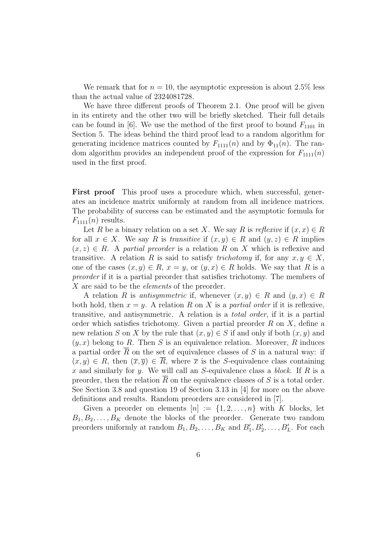We remark that for  $n = 10$ , the asymptotic expression is about 2.5% less than the actual value of 2324081728.

We have three different proofs of Theorem 2.1. One proof will be given in its entirety and the other two will be briefly sketched. Their full details can be found in [6]. We use the method of the first proof to bound  $F_{1101}$  in Section 5. The ideas behind the third proof lead to a random algorithm for generating incidence matrices counted by  $F_{1111}(n)$  and by  $\Phi_{11}(n)$ . The random algorithm provides an independent proof of the expression for  $F_{1111}(n)$ used in the first proof.

First proof This proof uses a procedure which, when successful, generates an incidence matrix uniformly at random from all incidence matrices. The probability of success can be estimated and the asymptotic formula for  $F_{111}(n)$  results.

Let R be a binary relation on a set X. We say R is reflexive if  $(x, x) \in R$ for all  $x \in X$ . We say R is transitive if  $(x, y) \in R$  and  $(y, z) \in R$  implies  $(x, z) \in R$ . A partial preorder is a relation R on X which is reflexive and transitive. A relation R is said to satisfy *trichotomy* if, for any  $x, y \in X$ , one of the cases  $(x, y) \in R$ ,  $x = y$ , or  $(y, x) \in R$  holds. We say that R is a preorder if it is a partial preorder that satisfies trichotomy. The members of X are said to be the *elements* of the preorder.

A relation R is antisymmetric if, whenever  $(x, y) \in R$  and  $(y, x) \in R$ both hold, then  $x = y$ . A relation R on X is a partial order if it is reflexive, transitive, and antisymmetric. A relation is a total order, if it is a partial order which satisfies trichotomy. Given a partial preorder  $R$  on  $X$ , define a new relation S on X by the rule that  $(x, y) \in S$  if and only if both  $(x, y)$  and  $(y, x)$  belong to R. Then S is an equivalence relation. Moreover, R induces a partial order  $\overline{R}$  on the set of equivalence classes of S in a natural way: if  $(x, y) \in R$ , then  $(\overline{x}, \overline{y}) \in \overline{R}$ , where  $\overline{x}$  is the S-equivalence class containing x and similarly for y. We will call an S-equivalence class a block. If  $R$  is a preorder, then the relation  $\overline{R}$  on the equivalence classes of S is a total order. See Section 3.8 and question 19 of Section 3.13 in [4] for more on the above definitions and results. Random preorders are considered in [7].

Given a preorder on elements  $[n] := \{1, 2, \ldots, n\}$  with K blocks, let  $B_1, B_2, \ldots, B_K$  denote the blocks of the preorder. Generate two random preorders uniformly at random  $B_1, B_2, \ldots, B_K$  and  $B'_1, B'_2, \ldots, B'_L$ . For each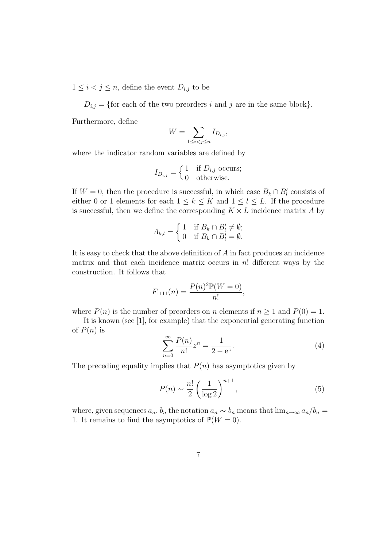$1 \leq i < j \leq n$ , define the event  $D_{i,j}$  to be

 $D_{i,j} = \{\text{for each of the two preorders } i \text{ and } j \text{ are in the same block}\}.$ 

Furthermore, define

$$
W = \sum_{1 \le i < j \le n} I_{D_{i,j}},
$$

where the indicator random variables are defined by

$$
I_{D_{i,j}} = \begin{cases} 1 & \text{if } D_{i,j} \text{ occurs;} \\ 0 & \text{otherwise.} \end{cases}
$$

If  $W = 0$ , then the procedure is successful, in which case  $B_k \cap B_l'$  consists of either 0 or 1 elements for each  $1 \leq k \leq K$  and  $1 \leq l \leq L$ . If the procedure is successful, then we define the corresponding  $K \times L$  incidence matrix A by

$$
A_{k,l} = \begin{cases} 1 & \text{if } B_k \cap B'_l \neq \emptyset; \\ 0 & \text{if } B_k \cap B'_l = \emptyset. \end{cases}
$$

It is easy to check that the above definition of A in fact produces an incidence matrix and that each incidence matrix occurs in  $n!$  different ways by the construction. It follows that

$$
F_{1111}(n) = \frac{P(n)^{2} \mathbb{P}(W=0)}{n!},
$$

where  $P(n)$  is the number of preorders on n elements if  $n \ge 1$  and  $P(0) = 1$ .

It is known (see [1], for example) that the exponential generating function of  $P(n)$  is

$$
\sum_{n=0}^{\infty} \frac{P(n)}{n!} z^n = \frac{1}{2 - e^z}.
$$
 (4)

The preceding equality implies that  $P(n)$  has asymptotics given by

$$
P(n) \sim \frac{n!}{2} \left(\frac{1}{\log 2}\right)^{n+1},\tag{5}
$$

where, given sequences  $a_n$ ,  $b_n$  the notation  $a_n \sim b_n$  means that  $\lim_{n\to\infty} a_n/b_n =$ 1. It remains to find the asymptotics of  $\mathbb{P}(W = 0)$ .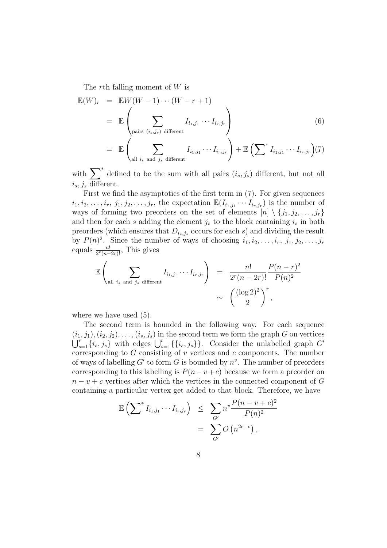The rth falling moment of W is

$$
\mathbb{E}(W)_r = \mathbb{E}W(W-1)\cdots(W-r+1)
$$
\n
$$
= \mathbb{E}\left(\sum_{\text{pairs } (i_s,j_s) \text{ different}} I_{i_1,j_1}\cdots I_{i_r,j_r}\right)
$$
\n
$$
= \mathbb{E}\left(\sum_{\text{all } i_s \text{ and } j_s \text{ different}} I_{i_1,j_1}\cdots I_{i_r,j_r}\right) + \mathbb{E}\left(\sum^* I_{i_1,j_1}\cdots I_{i_r,j_r}\right)(7)
$$

with  $\sum_{i=1}^{k}$  defined to be the sum with all pairs  $(i_s, j_s)$  different, but not all  $i_s, j_s$  different.

First we find the asymptotics of the first term in (7). For given sequences  $i_1, i_2, \ldots, i_r, j_1, j_2, \ldots, j_r$ , the expectation  $\mathbb{E}(I_{i_1,j_1} \cdots I_{i_r,j_r})$  is the number of ways of forming two preorders on the set of elements  $[n] \setminus \{j_1, j_2, \ldots, j_r\}$ and then for each s adding the element  $j_s$  to the block containing  $i_s$  in both preorders (which ensures that  $D_{i_s,j_s}$  occurs for each s) and dividing the result by  $P(n)^2$ . Since the number of ways of choosing  $i_1, i_2, \ldots, i_r, j_1, j_2, \ldots, j_r$ equals  $\frac{n!}{2^r(n-2r)!}$ , This gives

$$
\mathbb{E}\left(\sum_{\text{all }i_s \text{ and }j_s \text{ different}}I_{i_1,j_1}\cdots I_{i_r,j_r}\right) = \frac{n!}{2^r(n-2r)!}\frac{P(n-r)^2}{P(n)^2}
$$

$$
\sim \left(\frac{(\log 2)^2}{2}\right)^r,
$$

where we have used  $(5)$ .

The second term is bounded in the following way. For each sequence  $(i_1, j_1), (i_2, j_2), \ldots, (i_s, j_s)$  in the second term we form the graph G on vertices  $\bigcup_{s=1}^r \{i_s, j_s\}$  with edges  $\bigcup_{s=1}^r \{\{i_s, j_s\}\}\.$  Consider the unlabelled graph G' corresponding to  $G$  consisting of  $v$  vertices and  $c$  components. The number of ways of labelling  $G'$  to form G is bounded by  $n^v$ . The number of preorders corresponding to this labelling is  $P(n-v+c)$  because we form a preorder on  $n - v + c$  vertices after which the vertices in the connected component of G containing a particular vertex get added to that block. Therefore, we have

$$
\mathbb{E}\left(\sum^* I_{i_1,j_1} \cdots I_{i_r,j_r}\right) \leq \sum_{G'} n^v \frac{P(n-v+c)^2}{P(n)^2} \n= \sum_{G'} O\left(n^{2c-v}\right),
$$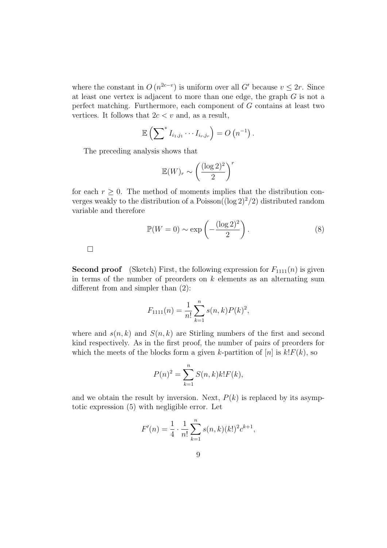where the constant in  $O(n^{2c-v})$  is uniform over all G' because  $v \leq 2r$ . Since at least one vertex is adjacent to more than one edge, the graph G is not a perfect matching. Furthermore, each component of G contains at least two vertices. It follows that  $2c < v$  and, as a result,

$$
\mathbb{E}\left(\sum\nolimits^* I_{i_1,j_1}\cdots I_{i_r,j_r}\right)=O\left(n^{-1}\right).
$$

The preceding analysis shows that

$$
\mathbb{E}(W)_r \sim \left(\frac{(\log 2)^2}{2}\right)^r
$$

for each  $r \geq 0$ . The method of moments implies that the distribution converges weakly to the distribution of a Poisson( $(\log 2)^2/2$ ) distributed random variable and therefore

$$
\mathbb{P}(W=0) \sim \exp\left(-\frac{(\log 2)^2}{2}\right). \tag{8}
$$

 $\Box$ 

**Second proof** (Sketch) First, the following expression for  $F_{1111}(n)$  is given in terms of the number of preorders on  $k$  elements as an alternating sum different from and simpler than (2):

$$
F_{1111}(n) = \frac{1}{n!} \sum_{k=1}^{n} s(n,k) P(k)^2,
$$

where and  $s(n, k)$  and  $S(n, k)$  are Stirling numbers of the first and second kind respectively. As in the first proof, the number of pairs of preorders for which the meets of the blocks form a given k-partition of [n] is  $k!F(k)$ , so

$$
P(n)^{2} = \sum_{k=1}^{n} S(n,k)k!F(k),
$$

and we obtain the result by inversion. Next,  $P(k)$  is replaced by its asymptotic expression (5) with negligible error. Let

$$
F'(n) = \frac{1}{4} \cdot \frac{1}{n!} \sum_{k=1}^{n} s(n,k) (k!)^2 c^{k+1},
$$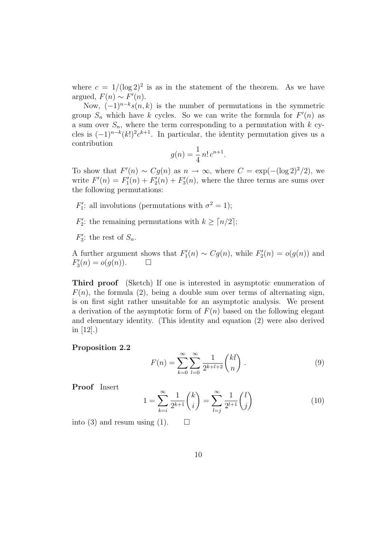where  $c = 1/(\log 2)^2$  is as in the statement of the theorem. As we have argued,  $F(n) \sim F'(n)$ .

Now,  $(-1)^{n-k} s(n, k)$  is the number of permutations in the symmetric group  $S_n$  which have k cycles. So we can write the formula for  $F'(n)$  as a sum over  $S_n$ , where the term corresponding to a permutation with k cycles is  $(-1)^{n-k}(k!)^2 c^{k+1}$ . In particular, the identity permutation gives us a contribution

$$
g(n) = \frac{1}{4} n! \, c^{n+1}.
$$

To show that  $F'(n) \sim Cg(n)$  as  $n \to \infty$ , where  $C = \exp(-(\log 2)^2/2)$ , we write  $F'(n) = F'_1(n) + F'_2(n) + F'_3(n)$ , where the three terms are sums over the following permutations:

 $F'_1$ : all involutions (permutations with  $\sigma^2 = 1$ );

 $F_2'$ : the remaining permutations with  $k \geq \lceil n/2 \rceil$ ;

 $F_3'$ : the rest of  $S_n$ .

A further argument shows that  $F'_1(n) \sim Cg(n)$ , while  $F'_2(n) = o(g(n))$  and  $F'_3(n) = o(g(n)).$   $\Box$ 

Third proof (Sketch) If one is interested in asymptotic enumeration of  $F(n)$ , the formula (2), being a double sum over terms of alternating sign, is on first sight rather unsuitable for an asymptotic analysis. We present a derivation of the asymptotic form of  $F(n)$  based on the following elegant and elementary identity. (This identity and equation (2) were also derived in [12].)

#### Proposition 2.2

$$
F(n) = \sum_{k=0}^{\infty} \sum_{l=0}^{\infty} \frac{1}{2^{k+l+2}} \binom{kl}{n} . \tag{9}
$$

Proof Insert

$$
1 = \sum_{k=i}^{\infty} \frac{1}{2^{k+1}} \binom{k}{i} = \sum_{l=j}^{\infty} \frac{1}{2^{l+1}} \binom{l}{j} \tag{10}
$$

into (3) and resum using (1).  $\square$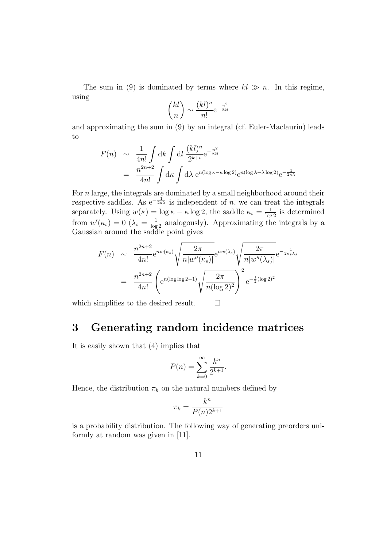The sum in (9) is dominated by terms where  $kl \gg n$ . In this regime, using

$$
\binom{kl}{n} \sim \frac{(kl)^n}{n!} e^{-\frac{n^2}{2kl}}
$$

and approximating the sum in (9) by an integral (cf. Euler-Maclaurin) leads to

$$
F(n) \sim \frac{1}{4n!} \int \mathrm{d}k \int \mathrm{d}l \frac{(kl)^n}{2^{k+l}} e^{-\frac{n^2}{2kl}}
$$
  
= 
$$
\frac{n^{2n+2}}{4n!} \int \mathrm{d}\kappa \int \mathrm{d}\lambda \ e^{n(\log \kappa - \kappa \log 2)} e^{n(\log \lambda - \lambda \log 2)} e^{-\frac{1}{2\kappa \lambda}}
$$

For n large, the integrals are dominated by a small neighborhood around their respective saddles. As e<sup>- $\frac{1}{2\kappa\lambda}$ </sup> is independent of n, we can treat the integrals separately. Using  $w(\kappa) = \log \kappa - \kappa \log 2$ , the saddle  $\kappa_s = \frac{1}{\log 2}$  is determined from  $w'(\kappa_s) = 0$  ( $\lambda_s = \frac{1}{\log 2}$  analogously). Approximating the integrals by a Gaussian around the saddle point gives

$$
F(n) \sim \frac{n^{2n+2}}{4n!} e^{nw(\kappa_s)} \sqrt{\frac{2\pi}{n|w''(\kappa_s)|}} e^{nw(\lambda_s)} \sqrt{\frac{2\pi}{n|w''(\lambda_s)|}} e^{-\frac{1}{2\kappa_s\lambda_s}}
$$

$$
= \frac{n^{2n+2}}{4n!} \left( e^{n(\log\log 2 - 1)} \sqrt{\frac{2\pi}{n(\log 2)^2}} \right)^2 e^{-\frac{1}{2}(\log 2)^2}
$$

which simplifies to the desired result.  $\Box$ 

# 3 Generating random incidence matrices

It is easily shown that (4) implies that

$$
P(n) = \sum_{k=0}^{\infty} \frac{k^n}{2^{k+1}}.
$$

Hence, the distribution  $\pi_k$  on the natural numbers defined by

$$
\pi_k = \frac{k^n}{P(n)2^{k+1}}
$$

is a probability distribution. The following way of generating preorders uniformly at random was given in [11].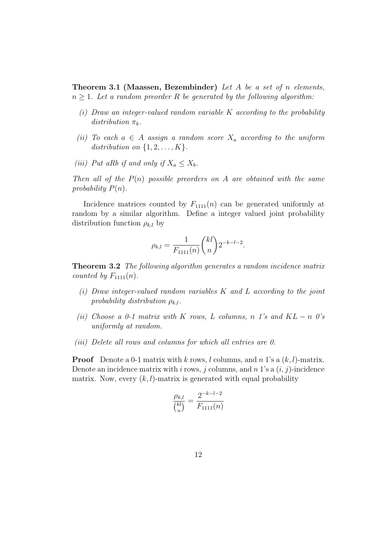**Theorem 3.1 (Maassen, Bezembinder)** Let A be a set of n elements,  $n \geq 1$ . Let a random preorder R be generated by the following algorithm:

- $(i)$  Draw an integer-valued random variable K according to the probability distribution  $\pi_k$ .
- (ii) To each  $a \in A$  assign a random score  $X_a$  according to the uniform distribution on  $\{1, 2, \ldots, K\}$ .
- (iii) Put aRb if and only if  $X_a \leq X_b$ .

Then all of the  $P(n)$  possible preorders on A are obtained with the same probability  $P(n)$ .

Incidence matrices counted by  $F_{1111}(n)$  can be generated uniformly at random by a similar algorithm. Define a integer valued joint probability distribution function  $\rho_{k,l}$  by

$$
\rho_{k,l} = \frac{1}{F_{1111}(n)} {kl \choose n} 2^{-k-l-2}.
$$

**Theorem 3.2** The following algorithm generates a random incidence matrix counted by  $F_{1111}(n)$ .

- (i) Draw integer-valued random variables K and L according to the joint probability distribution  $\rho_{k,l}$ .
- (ii) Choose a 0-1 matrix with K rows, L columns, n 1's and  $KL n$  0's uniformly at random.
- (iii) Delete all rows and columns for which all entries are 0.

**Proof** Denote a 0-1 matrix with k rows, l columns, and n 1's a  $(k, l)$ -matrix. Denote an incidence matrix with i rows, j columns, and n 1's a  $(i, j)$ -incidence matrix. Now, every  $(k, l)$ -matrix is generated with equal probability

$$
\frac{\rho_{k,l}}{\binom{kl}{n}} = \frac{2^{-k-l-2}}{F_{1111}(n)}
$$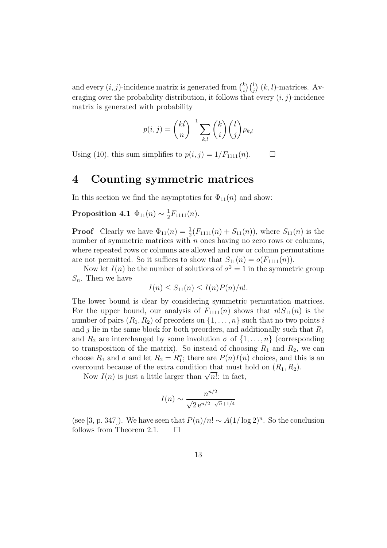and every  $(i, j)$ -incidence matrix is generated from  $\binom{k}{i}$  $\binom{k}{i}\binom{l}{j}$  (k, l)-matrices. Averaging over the probability distribution, it follows that every  $(i, j)$ -incidence matrix is generated with probability

$$
p(i,j) = {kl \choose n}^{-1} \sum_{k,l} {k \choose i} {l \choose j} \rho_{k,l}
$$

Using (10), this sum simplifies to  $p(i, j) = 1/F_{1111}(n)$ .  $\Box$ 

#### 4 Counting symmetric matrices

In this section we find the asymptotics for  $\Phi_{11}(n)$  and show:

Proposition 4.1  $\Phi_{11}(n) \sim \frac{1}{2}$  $\frac{1}{2}F_{1111}(n)$ .

**Proof** Clearly we have  $\Phi_{11}(n) = \frac{1}{2}(F_{1111}(n) + S_{11}(n))$ , where  $S_{11}(n)$  is the number of symmetric matrices with  $n$  ones having no zero rows or columns, where repeated rows or columns are allowed and row or column permutations are not permitted. So it suffices to show that  $S_{11}(n) = o(F_{1111}(n)).$ 

Now let  $I(n)$  be the number of solutions of  $\sigma^2 = 1$  in the symmetric group  $S_n$ . Then we have

$$
I(n) \le S_{11}(n) \le I(n)P(n)/n!.
$$

The lower bound is clear by considering symmetric permutation matrices. For the upper bound, our analysis of  $F_{1111}(n)$  shows that  $n!S_{11}(n)$  is the number of pairs  $(R_1, R_2)$  of preorders on  $\{1, \ldots, n\}$  such that no two points i and j lie in the same block for both preorders, and additionally such that  $R_1$ and  $R_2$  are interchanged by some involution  $\sigma$  of  $\{1, \ldots, n\}$  (corresponding to transposition of the matrix). So instead of choosing  $R_1$  and  $R_2$ , we can choose  $R_1$  and  $\sigma$  and let  $R_2 = R_1^{\sigma}$ ; there are  $P(n)I(n)$  choices, and this is an overcount because of the extra condition that must hold on  $(R_1, R_2)$ .

rcount because of the extra condition that must a<br>Now  $I(n)$  is just a little larger than  $\sqrt{n!}$ : in fact,

$$
I(n) \sim \frac{n^{n/2}}{\sqrt{2}e^{n/2 - \sqrt{n} + 1/4}}
$$

(see [3, p. 347]). We have seen that  $P(n)/n! \sim A(1/\log 2)^n$ . So the conclusion follows from Theorem 2.1.  $\Box$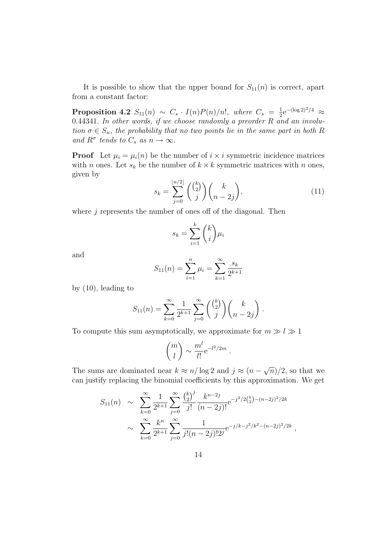It is possible to show that the upper bound for  $S_{11}(n)$  is correct, apart from a constant factor:

**Proposition 4.2**  $S_{11}(n) \sim C_s \cdot I(n)P(n)/n!$ , where  $C_s = \frac{1}{2}$  $\frac{1}{2}e^{-(\log 2)^2/4} \approx$ 0.44341. In other words, if we choose randomly a preorder  $R$  and an involution  $\sigma \in S_n$ , the probability that no two points lie in the same part in both R and  $R^{\sigma}$  tends to  $C_s$  as  $n \to \infty$ .

**Proof** Let  $\mu_i = \mu_i(n)$  be the number of  $i \times i$  symmetric incidence matrices with *n* ones. Let  $s_k$  be the number of  $k \times k$  symmetric matrices with *n* ones, given by

$$
s_k = \sum_{j=0}^{\lfloor n/2 \rfloor} \binom{\binom{k}{2}}{j} \binom{k}{n-2j},\tag{11}
$$

where  $j$  represents the number of ones off of the diagonal. Then

$$
s_k = \sum_{i=1}^k {k \choose i} \mu_i
$$

and

$$
S_{11}(n) = \sum_{i=1}^{n} \mu_i = \sum_{k=1}^{\infty} \frac{s_k}{2^{k+1}}
$$

by (10), leading to

$$
S_{11}(n) = \sum_{k=0}^{\infty} \frac{1}{2^{k+1}} \sum_{j=0}^{\infty} \binom{\binom{k}{2}}{j} \binom{k}{n-2j}.
$$

To compute this sum asymptotically, we approximate for  $m \gg l \gg 1$ 

$$
\binom{m}{l} \sim \frac{m^l}{l!} e^{-l^2/2m}.
$$

The sums are dominated near  $k \approx n/\log 2$  and  $j \approx (n -$ √  $\overline{n})/2$ , so that we can justify replacing the binomial coefficients by this approximation. We get

$$
S_{11}(n) \sim \sum_{k=0}^{\infty} \frac{1}{2^{k+1}} \sum_{j=0}^{\infty} \frac{\binom{k}{2}^j}{j!} \frac{k^{n-2j}}{(n-2j)!} e^{-j^2/2\binom{k}{2}-(n-2j)^2/2k}
$$
  
 
$$
\sim \sum_{k=0}^{\infty} \frac{k^n}{2^{k+1}} \sum_{j=0}^{\infty} \frac{1}{j!(n-2j)!2^j} e^{-j/k-j^2/k^2-(n-2j)^2/2k},
$$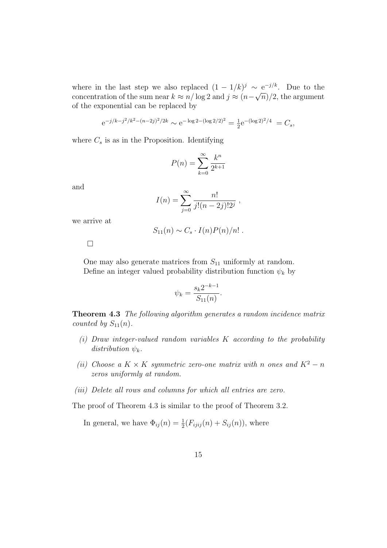where in the last step we also replaced  $(1 - 1/k)^j \sim e^{-j/k}$ . Due to the concentration of the sum near  $k \approx n/\log 2$  and  $j \approx (n-\sqrt{n})/2$ , the argument of the exponential can be replaced by

$$
e^{-j/k-j^2/k^2 - (n-2j)^2/2k} \sim e^{-\log 2 - (\log 2/2)^2} = \frac{1}{2}e^{-(\log 2)^2/4} = C_s,
$$

where  $C_s$  is as in the Proposition. Identifying

$$
P(n) = \sum_{k=0}^{\infty} \frac{k^n}{2^{k+1}}
$$

and

$$
I(n) = \sum_{j=0}^{\infty} \frac{n!}{j!(n-2j)!2^j},
$$

we arrive at

$$
S_{11}(n) \sim C_s \cdot I(n)P(n)/n! .
$$

 $\Box$ 

One may also generate matrices from  $S_{11}$  uniformly at random. Define an integer valued probability distribution function  $\psi_k$  by

$$
\psi_k = \frac{s_k 2^{-k-1}}{S_{11}(n)}.
$$

**Theorem 4.3** The following algorithm generates a random incidence matrix counted by  $S_{11}(n)$ .

- (i) Draw integer-valued random variables K according to the probability distribution  $\psi_k$ .
- (ii) Choose a K × K symmetric zero-one matrix with n ones and  $K^2 n$ zeros uniformly at random.
- (iii) Delete all rows and columns for which all entries are zero.

The proof of Theorem 4.3 is similar to the proof of Theorem 3.2.

In general, we have  $\Phi_{ij}(n) = \frac{1}{2}(F_{ijij}(n) + S_{ij}(n))$ , where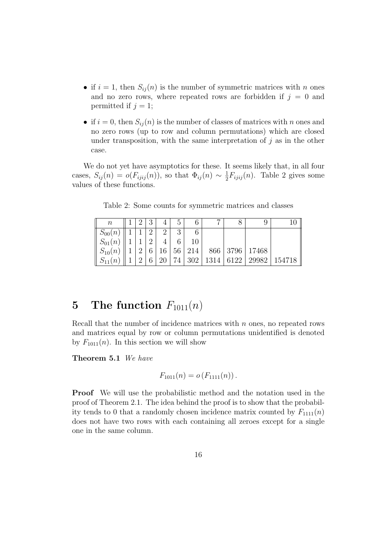- if  $i = 1$ , then  $S_{ij}(n)$  is the number of symmetric matrices with n ones and no zero rows, where repeated rows are forbidden if  $j = 0$  and permitted if  $j = 1$ ;
- if  $i = 0$ , then  $S_{ij}(n)$  is the number of classes of matrices with n ones and no zero rows (up to row and column permutations) which are closed under transposition, with the same interpretation of  $j$  as in the other case.

We do not yet have asymptotics for these. It seems likely that, in all four cases,  $S_{ij}(n) = o(F_{ijij}(n))$ , so that  $\Phi_{ij}(n) \sim \frac{1}{2}$  $\frac{1}{2}F_{ijij}(n)$ . Table 2 gives some values of these functions.

Table 2: Some counts for symmetric matrices and classes

| $\, n$                  |          | $\Omega$<br>IJ |          | G  |        |      |      |                    |        |
|-------------------------|----------|----------------|----------|----|--------|------|------|--------------------|--------|
| $S_{00}(n)$             |          | 2              | $\Omega$ | 3  |        |      |      |                    |        |
| $\parallel S_{01}(n)$   |          | 2              |          |    | 10     |      |      |                    |        |
| $\mid S_{10}(n)\right $ | റ        | 6              | 16       |    | 56 214 |      |      | 866   3796   17468 |        |
| $\ S_{11}(n)\ $         | $\Omega$ | 6              | 20       | 74 | 302    | 1314 | 6122 | 29982              | 154718 |

### 5 The function  $F_{1011}(n)$

Recall that the number of incidence matrices with  $n$  ones, no repeated rows and matrices equal by row or column permutations unidentified is denoted by  $F_{1011}(n)$ . In this section we will show

Theorem 5.1 We have

$$
F_{1011}(n) = o(F_{1111}(n)).
$$

Proof We will use the probabilistic method and the notation used in the proof of Theorem 2.1. The idea behind the proof is to show that the probability tends to 0 that a randomly chosen incidence matrix counted by  $F_{111}(n)$ does not have two rows with each containing all zeroes except for a single one in the same column.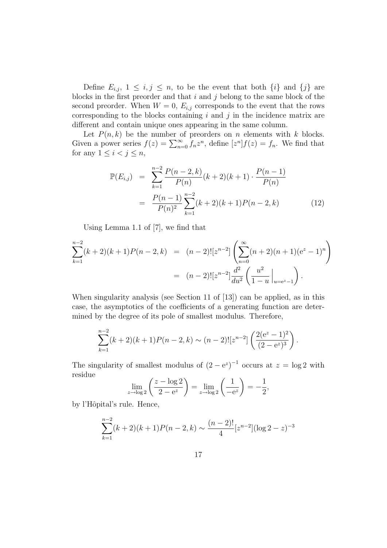Define  $E_{i,j}, 1 \leq i,j \leq n$ , to be the event that both  $\{i\}$  and  $\{j\}$  are blocks in the first preorder and that  $i$  and  $j$  belong to the same block of the second preorder. When  $W = 0$ ,  $E_{i,j}$  corresponds to the event that the rows corresponding to the blocks containing  $i$  and  $j$  in the incidence matrix are different and contain unique ones appearing in the same column.

Let  $P(n, k)$  be the number of preorders on n elements with k blocks. Given a power series  $f(z) = \sum_{n=0}^{\infty} f_n z^n$ , define  $[z^n] f(z) = f_n$ . We find that for any  $1 \leq i < j \leq n$ ,

$$
\mathbb{P}(E_{i,j}) = \sum_{k=1}^{n-2} \frac{P(n-2,k)}{P(n)} (k+2)(k+1) \cdot \frac{P(n-1)}{P(n)} \n= \frac{P(n-1)}{P(n)^2} \sum_{k=1}^{n-2} (k+2)(k+1)P(n-2,k)
$$
\n(12)

Using Lemma 1.1 of [7], we find that

$$
\sum_{k=1}^{n-2} (k+2)(k+1)P(n-2,k) = (n-2)![z^{n-2}] \left( \sum_{n=0}^{\infty} (n+2)(n+1)(e^{z}-1)^{n} \right)
$$
  
=  $(n-2)![z^{n-2}] \frac{d^{2}}{du^{2}} \left( \frac{u^{2}}{1-u} \Big|_{u=e^{z}-1} \right).$ 

When singularity analysis (see Section 11 of [13]) can be applied, as in this case, the asymptotics of the coefficients of a generating function are determined by the degree of its pole of smallest modulus. Therefore,

$$
\sum_{k=1}^{n-2} (k+2)(k+1)P(n-2,k) \sim (n-2)![z^{n-2}]\left(\frac{2(e^{z}-1)^{2}}{(2-e^{z})^{3}}\right).
$$

The singularity of smallest modulus of  $(2-e^z)^{-1}$  occurs at  $z = \log 2$  with residue

$$
\lim_{z \to \log 2} \left( \frac{z - \log 2}{2 - e^z} \right) = \lim_{z \to \log 2} \left( \frac{1}{-e^z} \right) = -\frac{1}{2},
$$

by l'Hôpital's rule. Hence,

$$
\sum_{k=1}^{n-2} (k+2)(k+1)P(n-2,k) \sim \frac{(n-2)!}{4} [z^{n-2}](\log 2 - z)^{-3}
$$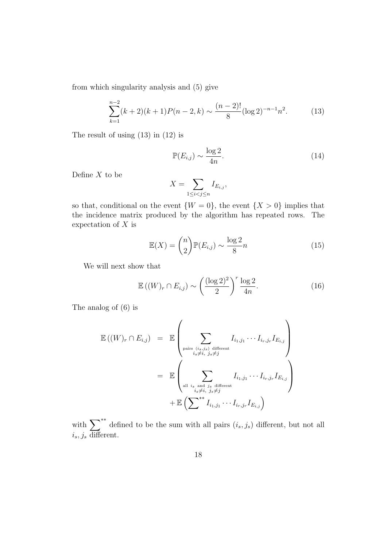from which singularity analysis and (5) give

$$
\sum_{k=1}^{n-2} (k+2)(k+1)P(n-2,k) \sim \frac{(n-2)!}{8} (\log 2)^{-n-1} n^2.
$$
 (13)

The result of using (13) in (12) is

$$
\mathbb{P}(E_{i,j}) \sim \frac{\log 2}{4n}.\tag{14}
$$

Define  $X$  to be

$$
X = \sum_{1 \le i < j \le n} I_{E_{i,j}},
$$

so that, conditional on the event  $\{W = 0\}$ , the event  $\{X > 0\}$  implies that the incidence matrix produced by the algorithm has repeated rows. The expectation of  $X$  is

$$
\mathbb{E}(X) = \binom{n}{2} \mathbb{P}(E_{i,j}) \sim \frac{\log 2}{8}n \tag{15}
$$

We will next show that

$$
\mathbb{E}\left((W)_r \cap E_{i,j}\right) \sim \left(\frac{(\log 2)^2}{2}\right)^r \frac{\log 2}{4n}.\tag{16}
$$

The analog of (6) is

$$
\mathbb{E}((W)_r \cap E_{i,j}) = \mathbb{E}\left(\sum_{\substack{\text{pairs } (i_s,j_s) \text{ different} \\ i_s \neq i, j_s \neq j}} I_{i_1,j_1} \cdots I_{i_r,j_r} I_{E_{i,j}}\right)
$$

$$
= \mathbb{E}\left(\sum_{\substack{\text{all } i_s \text{ and } j_s \text{ different} \\ i_s \neq i, j_s \neq j}} I_{i_1,j_1} \cdots I_{i_r,j_r} I_{E_{i,j}}\right)
$$

$$
+ \mathbb{E}\left(\sum_{\substack{\text{at } i_s \neq i, j_s \neq j}} I_{i_1,j_1} \cdots I_{i_r,j_r} I_{E_{i,j}}\right)
$$

with  $\sum_{i=1}^{N*}$  defined to be the sum with all pairs  $(i_s, j_s)$  different, but not all  $i_s, j_s$  different.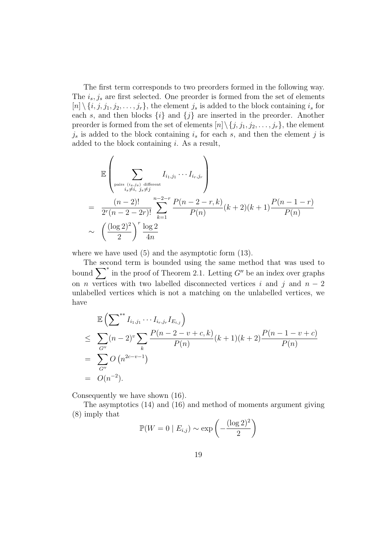The first term corresponds to two preorders formed in the following way. The  $i_s, j_s$  are first selected. One preorder is formed from the set of elements  $[n] \setminus \{i, j, j_1, j_2, \ldots, j_r\}$ , the element  $j_s$  is added to the block containing  $i_s$  for each s, and then blocks  $\{i\}$  and  $\{j\}$  are inserted in the preorder. Another preorder is formed from the set of elements  $[n] \setminus \{j, j_1, j_2, \ldots, j_r\}$ , the element  $j_s$  is added to the block containing  $i_s$  for each s, and then the element j is added to the block containing i. As a result,

$$
\mathbb{E}\left(\sum_{\substack{\text{pairs } (i_s,j_s) \text{ different} \\ i_s \neq i, j_s \neq j}} I_{i_1,j_1} \cdots I_{i_r,j_r}\right)
$$
\n
$$
= \frac{(n-2)!}{2^r (n-2-2r)!} \sum_{k=1}^{n-2-r} \frac{P(n-2-r,k)}{P(n)} (k+2)(k+1) \frac{P(n-1-r)}{P(n)}
$$
\n
$$
\sim \left(\frac{(\log 2)^2}{2}\right)^r \frac{\log 2}{4n}
$$

where we have used (5) and the asymptotic form (13).

The second term is bounded using the same method that was used to bound  $\sum^*$  in the proof of Theorem 2.1. Letting G'' be an index over graphs on *n* vertices with two labelled disconnected vertices i and j and  $n-2$ unlabelled vertices which is not a matching on the unlabelled vertices, we have

$$
\mathbb{E}\left(\sum_{i=1}^{N} I_{i_1,j_1} \cdots I_{i_r,j_r} I_{E_{i,j}}\right)
$$
\n
$$
\leq \sum_{G''} (n-2)^v \sum_{k} \frac{P(n-2-v+c,k)}{P(n)} (k+1)(k+2) \frac{P(n-1-v+c)}{P(n)}
$$
\n
$$
= \sum_{G''} O\left(n^{2c-v-1}\right)
$$
\n
$$
= O(n^{-2}).
$$

Consequently we have shown (16).

The asymptotics (14) and (16) and method of moments argument giving (8) imply that

$$
\mathbb{P}(W=0 \mid E_{i,j}) \sim \exp\left(-\frac{(\log 2)^2}{2}\right)
$$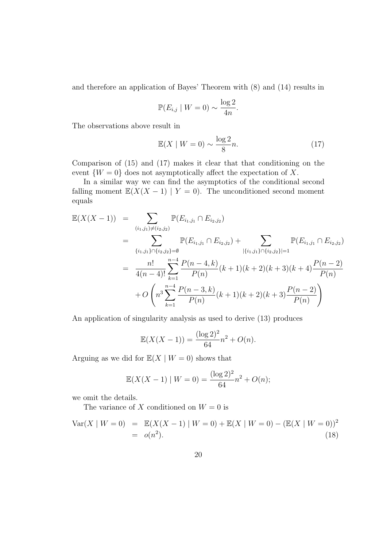and therefore an application of Bayes' Theorem with (8) and (14) results in

$$
\mathbb{P}(E_{i,j} \mid W = 0) \sim \frac{\log 2}{4n}.
$$

The observations above result in

$$
\mathbb{E}(X \mid W = 0) \sim \frac{\log 2}{8}n. \tag{17}
$$

Comparison of (15) and (17) makes it clear that that conditioning on the event  $\{W=0\}$  does not asymptotically affect the expectation of X.

In a similar way we can find the asymptotics of the conditional second falling moment  $\mathbb{E}(X(X-1) | Y = 0)$ . The unconditioned second moment equals

$$
\mathbb{E}(X(X-1)) = \sum_{(i_1,j_1)\neq(i_2,j_2)} \mathbb{P}(E_{i_1,j_1} \cap E_{i_2,j_2})
$$
\n
$$
= \sum_{\{i_1,j_1\}\cap\{i_2,j_2\}=\emptyset} \mathbb{P}(E_{i_1,j_1} \cap E_{i_2,j_2}) + \sum_{|\{i_1,j_1\}\cap\{i_2,j_2\}|=1} \mathbb{P}(E_{i_1,j_1} \cap E_{i_2,j_2})
$$
\n
$$
= \frac{n!}{4(n-4)!} \sum_{k=1}^{n-4} \frac{P(n-4,k)}{P(n)} (k+1)(k+2)(k+3)(k+4) \frac{P(n-2)}{P(n)}
$$
\n
$$
+ O\left(n^3 \sum_{k=1}^{n-4} \frac{P(n-3,k)}{P(n)} (k+1)(k+2)(k+3) \frac{P(n-2)}{P(n)}\right)
$$

An application of singularity analysis as used to derive (13) produces

$$
\mathbb{E}(X(X-1)) = \frac{(\log 2)^2}{64}n^2 + O(n).
$$

Arguing as we did for  $\mathbb{E}(X \mid W = 0)$  shows that

$$
\mathbb{E}(X(X-1) \mid W=0) = \frac{(\log 2)^2}{64}n^2 + O(n);
$$

we omit the details.

The variance of X conditioned on  $W = 0$  is

$$
Var(X | W = 0) = \mathbb{E}(X(X - 1) | W = 0) + \mathbb{E}(X | W = 0) - (\mathbb{E}(X | W = 0))^2
$$
  
=  $o(n^2)$ . (18)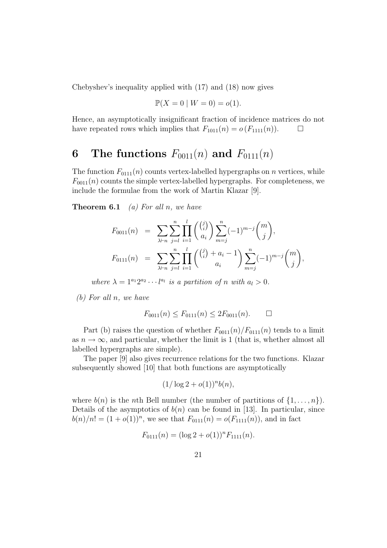Chebyshev's inequality applied with (17) and (18) now gives

$$
\mathbb{P}(X=0 \mid W=0) = o(1).
$$

Hence, an asymptotically insignificant fraction of incidence matrices do not have repeated rows which implies that  $F_{1011}(n) = o(F_{1111}(n))$ .  $\Box$ 

# 6 The functions  $F_{0011}(n)$  and  $F_{0111}(n)$

The function  $F_{0111}(n)$  counts vertex-labelled hypergraphs on n vertices, while  $F_{0011}(n)$  counts the simple vertex-labelled hypergraphs. For completeness, we include the formulae from the work of Martin Klazar [9].

**Theorem 6.1** (a) For all n, we have

$$
F_{0011}(n) = \sum_{\lambda \vdash n} \sum_{j=l}^{n} \prod_{i=1}^{l} \binom{\binom{j}{i}}{a_i} \sum_{m=j}^{n} (-1)^{m-j} \binom{m}{j},
$$
  

$$
F_{0111}(n) = \sum_{\lambda \vdash n} \sum_{j=l}^{n} \prod_{i=1}^{l} \binom{\binom{j}{i} + a_i - 1}{a_i} \sum_{m=j}^{n} (-1)^{m-j} \binom{m}{j},
$$

where  $\lambda = 1^{a_1} 2^{a_2} \cdots l^{a_l}$  is a partition of n with  $a_l > 0$ .

(b) For all n, we have

$$
F_{0011}(n) \le F_{0111}(n) \le 2F_{0011}(n). \qquad \Box
$$

Part (b) raises the question of whether  $F_{0011}(n)/F_{0111}(n)$  tends to a limit as  $n \to \infty$ , and particular, whether the limit is 1 (that is, whether almost all labelled hypergraphs are simple).

The paper [9] also gives recurrence relations for the two functions. Klazar subsequently showed [10] that both functions are asymptotically

$$
(1/\log 2 + o(1))^n b(n),
$$

where  $b(n)$  is the *n*th Bell number (the number of partitions of  $\{1, \ldots, n\}$ ). Details of the asymptotics of  $b(n)$  can be found in [13]. In particular, since  $b(n)/n! = (1+o(1))^n$ , we see that  $F_{0111}(n) = o(F_{1111}(n))$ , and in fact

$$
F_{0111}(n) = (\log 2 + o(1))^n F_{1111}(n).
$$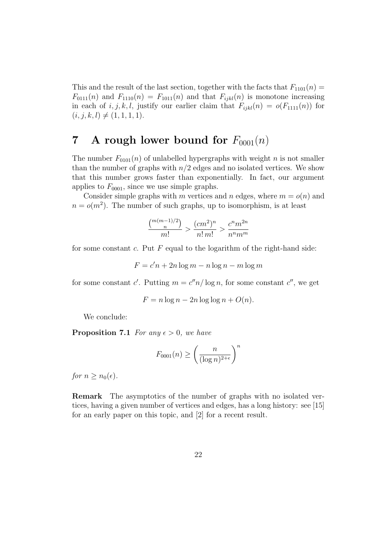This and the result of the last section, together with the facts that  $F_{1101}(n) =$  $F_{0111}(n)$  and  $F_{1110}(n) = F_{1011}(n)$  and that  $F_{ijkl}(n)$  is monotone increasing in each of i, j, k, l, justify our earlier claim that  $F_{ijkl}(n) = o(F_{1111}(n))$  for  $(i, j, k, l) \neq (1, 1, 1, 1).$ 

## 7 A rough lower bound for  $F_{0001}(n)$

The number  $F_{0101}(n)$  of unlabelled hypergraphs with weight n is not smaller than the number of graphs with  $n/2$  edges and no isolated vertices. We show that this number grows faster than exponentially. In fact, our argument applies to  $F_{0001}$ , since we use simple graphs.

Consider simple graphs with m vertices and n edges, where  $m = o(n)$  and  $n = o(m^2)$ . The number of such graphs, up to isomorphism, is at least

$$
\frac{\binom{m(m-1)/2}{n}}{m!} > \frac{(cm^2)^n}{n!m!} > \frac{c^n m^{2n}}{n^n m^m}
$$

for some constant c. Put  $F$  equal to the logarithm of the right-hand side:

$$
F = c'n + 2n \log m - n \log n - m \log m
$$

for some constant c'. Putting  $m = c''n/\log n$ , for some constant c'', we get

$$
F = n \log n - 2n \log \log n + O(n).
$$

We conclude:

**Proposition 7.1** For any  $\epsilon > 0$ , we have

$$
F_{0001}(n) \ge \left(\frac{n}{(\log n)^{2+\epsilon}}\right)^n
$$

for  $n \geq n_0(\epsilon)$ .

Remark The asymptotics of the number of graphs with no isolated vertices, having a given number of vertices and edges, has a long history: see [15] for an early paper on this topic, and [2] for a recent result.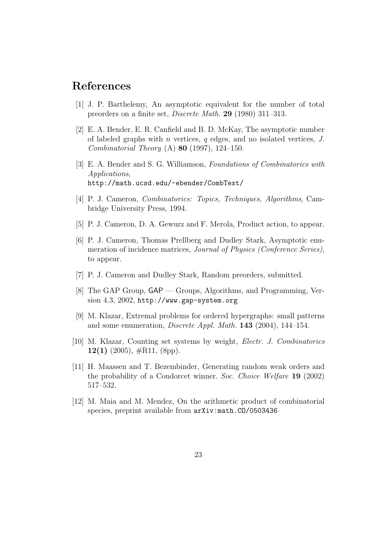### References

- [1] J. P. Barthelemy, An asymptotic equivalent for the number of total preorders on a finite set, Discrete Math. 29 (1980) 311–313.
- [2] E. A. Bender, E. R. Canfield and B. D. McKay, The asymptotic number of labeled graphs with n vertices, q edges, and no isolated vertices,  $J$ . *Combinatorial Theory* (A) **80** (1997), 124–150.
- [3] E. A. Bender and S. G. Williamson, Foundations of Combinatorics with Applications, http://math.ucsd.edu/~ebender/CombText/
- [4] P. J. Cameron, Combinatorics: Topics, Techniques, Algorithms, Cambridge University Press, 1994.
- [5] P. J. Cameron, D. A. Gewurz and F. Merola, Product action, to appear.
- [6] P. J. Cameron, Thomas Prellberg and Dudley Stark, Asymptotic enumeration of incidence matrices, Journal of Physics (Conference Series), to appear.
- [7] P. J. Cameron and Dudley Stark, Random preorders, submitted.
- [8] The GAP Group, GAP Groups, Algorithms, and Programming, Version 4.3, 2002, http://www.gap-system.org
- [9] M. Klazar, Extremal problems for ordered hypergraphs: small patterns and some enumeration, *Discrete Appl. Math.* **143** (2004), 144–154.
- [10] M. Klazar, Counting set systems by weight, Electr. J. Combinatorics 12(1) (2005),  $\#\text{R11}$ , (8pp).
- [11] H. Maassen and T. Bezembinder, Generating random weak orders and the probability of a Condorcet winner. Soc. Choice Welfare 19 (2002) 517–532.
- [12] M. Maia and M. Mendez, On the arithmetic product of combinatorial species, preprint available from  $arXiv:math.C0/0503436$